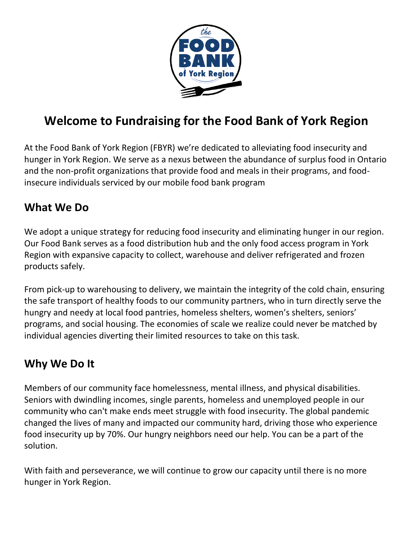

## **Welcome to Fundraising for the Food Bank of York Region**

At the Food Bank of York Region (FBYR) we're dedicated to alleviating food insecurity and hunger in York Region. We serve as a nexus between the abundance of surplus food in Ontario and the non-profit organizations that provide food and meals in their programs, and foodinsecure individuals serviced by our mobile food bank program

## **What We Do**

We adopt a unique strategy for reducing food insecurity and eliminating hunger in our region. Our Food Bank serves as a food distribution hub and the only food access program in York Region with expansive capacity to collect, warehouse and deliver refrigerated and frozen products safely.

From pick-up to warehousing to delivery, we maintain the integrity of the cold chain, ensuring the safe transport of healthy foods to our community partners, who in turn directly serve the hungry and needy at local food pantries, homeless shelters, women's shelters, seniors' programs, and social housing. The economies of scale we realize could never be matched by individual agencies diverting their limited resources to take on this task.

## **Why We Do It**

Members of our community face homelessness, mental illness, and physical disabilities. Seniors with dwindling incomes, single parents, homeless and unemployed people in our community who can't make ends meet struggle with food insecurity. The global pandemic changed the lives of many and impacted our community hard, driving those who experience food insecurity up by 70%. Our hungry neighbors need our help. You can be a part of the solution.

With faith and perseverance, we will continue to grow our capacity until there is no more hunger in York Region.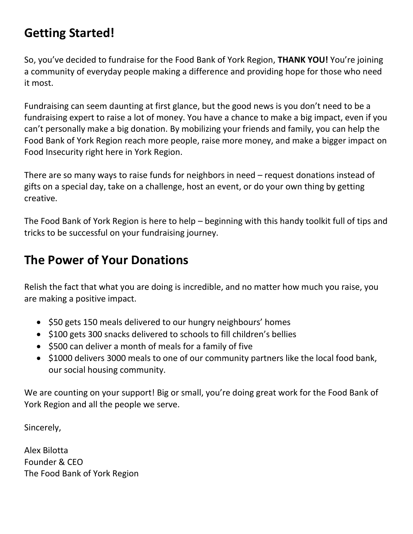## **Getting Started!**

So, you've decided to fundraise for the Food Bank of York Region, **THANK YOU!** You're joining a community of everyday people making a difference and providing hope for those who need it most.

Fundraising can seem daunting at first glance, but the good news is you don't need to be a fundraising expert to raise a lot of money. You have a chance to make a big impact, even if you can't personally make a big donation. By mobilizing your friends and family, you can help the Food Bank of York Region reach more people, raise more money, and make a bigger impact on Food Insecurity right here in York Region.

There are so many ways to raise funds for neighbors in need – request donations instead of gifts on a special day, take on a challenge, host an event, or do your own thing by getting creative.

The Food Bank of York Region is here to help – beginning with this handy toolkit full of tips and tricks to be successful on your fundraising journey.

## **The Power of Your Donations**

Relish the fact that what you are doing is incredible, and no matter how much you raise, you are making a positive impact.

- \$50 gets 150 meals delivered to our hungry neighbours' homes
- \$100 gets 300 snacks delivered to schools to fill children's bellies
- \$500 can deliver a month of meals for a family of five
- \$1000 delivers 3000 meals to one of our community partners like the local food bank, our social housing community.

We are counting on your support! Big or small, you're doing great work for the Food Bank of York Region and all the people we serve.

Sincerely,

Alex Bilotta Founder & CEO The Food Bank of York Region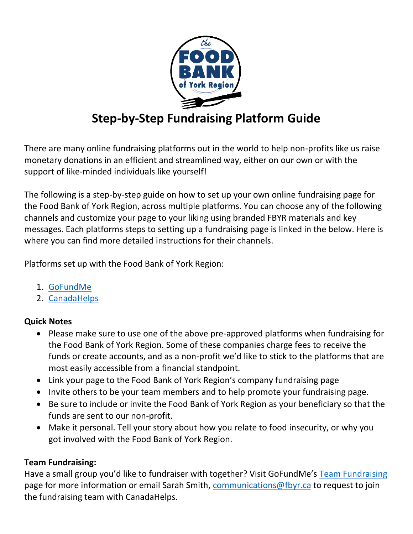

## **Step-by-Step Fundraising Platform Guide**

There are many online fundraising platforms out in the world to help non-profits like us raise monetary donations in an efficient and streamlined way, either on our own or with the support of like-minded individuals like yourself!

The following is a step-by-step guide on how to set up your own online fundraising page for the Food Bank of York Region, across multiple platforms. You can choose any of the following channels and customize your page to your liking using branded FBYR materials and key messages. Each platforms steps to setting up a fundraising page is linked in the below. Here is where you can find more detailed instructions for their channels.

Platforms set up with the Food Bank of York Region:

- 1. [GoFundMe](https://support.gofundme.com/hc/en-us/articles/360001992627-Creating-a-GoFundMe-from-start-to-finish-)
- 2. [CanadaHelps](https://www.canadahelps.org/en/fundraise/)

### **Quick Notes**

- Please make sure to use one of the above pre-approved platforms when fundraising for the Food Bank of York Region. Some of these companies charge fees to receive the funds or create accounts, and as a non-profit we'd like to stick to the platforms that are most easily accessible from a financial standpoint.
- Link your page to the Food Bank of York Region's company fundraising page
- Invite others to be your team members and to help promote your fundraising page.
- Be sure to include or invite the Food Bank of York Region as your beneficiary so that the funds are sent to our non-profit.
- Make it personal. Tell your story about how you relate to food insecurity, or why you got involved with the Food Bank of York Region.

### **Team Fundraising:**

Have a small group you'd like to fundraiser with together? Visit GoFundMe's [Team Fundraising](https://www.gofundme.com/team-fundraising) page for more information or email Sarah Smith, [communications@fbyr.ca](mailto:communications@fbyr.ca) to request to join the fundraising team with CanadaHelps.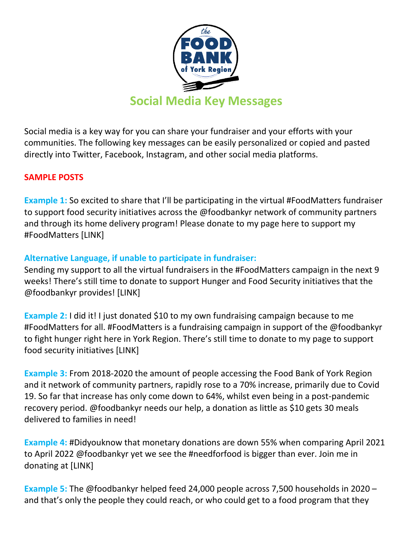

Social media is a key way for you can share your fundraiser and your efforts with your communities. The following key messages can be easily personalized or copied and pasted directly into Twitter, Facebook, Instagram, and other social media platforms.

### **SAMPLE POSTS**

**Example 1:** So excited to share that I'll be participating in the virtual #FoodMatters fundraiser to support food security initiatives across the @foodbankyr network of community partners and through its home delivery program! Please donate to my page here to support my #FoodMatters [LINK]

### **Alternative Language, if unable to participate in fundraiser:**

Sending my support to all the virtual fundraisers in the #FoodMatters campaign in the next 9 weeks! There's still time to donate to support Hunger and Food Security initiatives that the @foodbankyr provides! [LINK]

**Example 2:** I did it! I just donated \$10 to my own fundraising campaign because to me #FoodMatters for all. #FoodMatters is a fundraising campaign in support of the @foodbankyr to fight hunger right here in York Region. There's still time to donate to my page to support food security initiatives [LINK]

**Example 3:** From 2018-2020 the amount of people accessing the Food Bank of York Region and it network of community partners, rapidly rose to a 70% increase, primarily due to Covid 19. So far that increase has only come down to 64%, whilst even being in a post-pandemic recovery period. @foodbankyr needs our help, a donation as little as \$10 gets 30 meals delivered to families in need!

**Example 4:** #Didyouknow that monetary donations are down 55% when comparing April 2021 to April 2022 @foodbankyr yet we see the #needforfood is bigger than ever. Join me in donating at [LINK]

**Example 5:** The @foodbankyr helped feed 24,000 people across 7,500 households in 2020 – and that's only the people they could reach, or who could get to a food program that they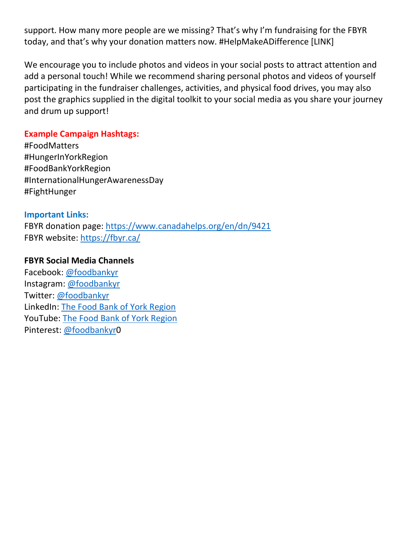support. How many more people are we missing? That's why I'm fundraising for the FBYR today, and that's why your donation matters now. #HelpMakeADifference [LINK]

We encourage you to include photos and videos in your social posts to attract attention and add a personal touch! While we recommend sharing personal photos and videos of yourself participating in the fundraiser challenges, activities, and physical food drives, you may also post the graphics supplied in the digital toolkit to your social media as you share your journey and drum up support!

#### **Example Campaign Hashtags:**

#FoodMatters #HungerInYorkRegion #FoodBankYorkRegion #InternationalHungerAwarenessDay #FightHunger

#### **Important Links:**

FBYR donation page:<https://www.canadahelps.org/en/dn/9421> FBYR website:<https://fbyr.ca/>

#### **FBYR Social Media Channels**

Facebook: [@foodbankyr](https://www.facebook.com/FoodBankYR) Instagram: [@foodbankyr](https://www.instagram.com/FoodbankYR/) Twitter: [@foodbankyr](https://twitter.com/FoodbankYR) LinkedIn: [The Food Bank of York Region](https://ca.linkedin.com/company/the-food-bank-of-york-region) YouTube: [The Food Bank of York Region](https://www.youtube.com/channel/UCVlHoc0_pz8y_AN0KerQmOg) Pinterest: [@foodbankyr0](https://www.pinterest.ca/foodbankyr/)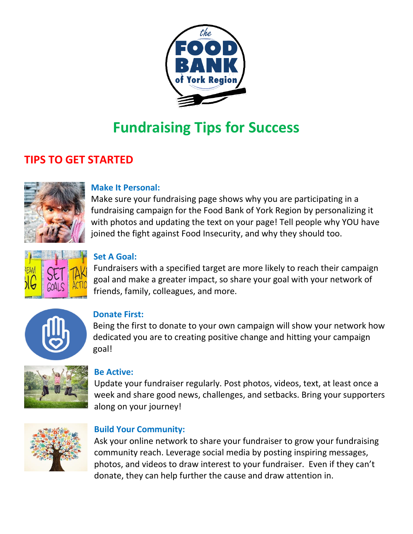

# **Fundraising Tips for Success**

## **TIPS TO GET STARTED**



### **Make It Personal:**

Make sure your fundraising page shows why you are participating in a fundraising campaign for the Food Bank of York Region by personalizing it with photos and updating the text on your page! Tell people why YOU have joined the fight against Food Insecurity, and why they should too.



### **Set A Goal:**

Fundraisers with a specified target are more likely to reach their campaign goal and make a greater impact, so share your goal with your network of friends, family, colleagues, and more.



### **Donate First:**

Being the first to donate to your own campaign will show your network how dedicated you are to creating positive change and hitting your campaign goal!



#### **Be Active:**

Update your fundraiser regularly. Post photos, videos, text, at least once a week and share good news, challenges, and setbacks. Bring your supporters along on your journey!



#### **Build Your Community:**

Ask your online network to share your fundraiser to grow your fundraising community reach. Leverage social media by posting inspiring messages, photos, and videos to draw interest to your fundraiser. Even if they can't donate, they can help further the cause and draw attention in.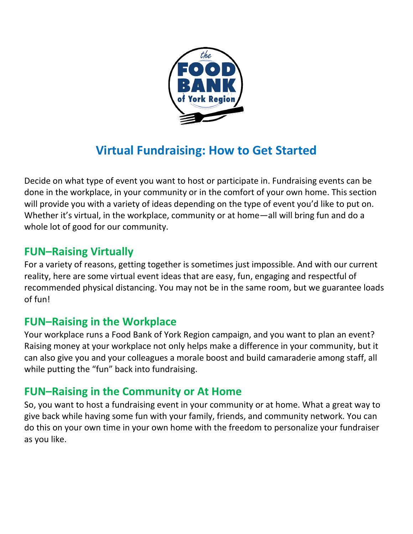

## **Virtual Fundraising: How to Get Started**

Decide on what type of event you want to host or participate in. Fundraising events can be done in the workplace, in your community or in the comfort of your own home. This section will provide you with a variety of ideas depending on the type of event you'd like to put on. Whether it's virtual, in the workplace, community or at home—all will bring fun and do a whole lot of good for our community.

## **FUN–Raising Virtually**

For a variety of reasons, getting together is sometimes just impossible. And with our current reality, here are some virtual event ideas that are easy, fun, engaging and respectful of recommended physical distancing. You may not be in the same room, but we guarantee loads of fun!

## **FUN–Raising in the Workplace**

Your workplace runs a Food Bank of York Region campaign, and you want to plan an event? Raising money at your workplace not only helps make a difference in your community, but it can also give you and your colleagues a morale boost and build camaraderie among staff, all while putting the "fun" back into fundraising.

## **FUN–Raising in the Community or At Home**

So, you want to host a fundraising event in your community or at home. What a great way to give back while having some fun with your family, friends, and community network. You can do this on your own time in your own home with the freedom to personalize your fundraiser as you like.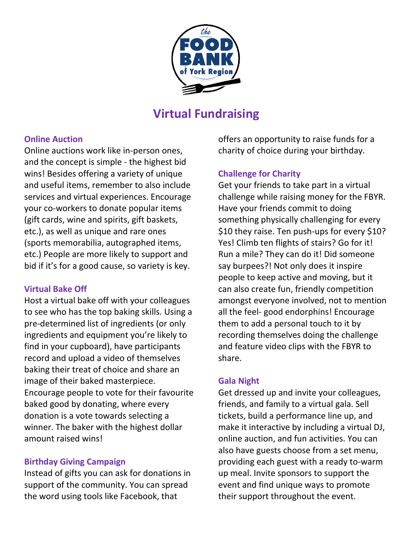

## **Virtual Fundraising**

### **Online Auction**

Online auctions work like in-person ones, and the concept is simple - the highest bid wins! Besides offering a variety of unique and useful items, remember to also include services and virtual experiences. Encourage your co-workers to donate popular items (gift cards, wine and spirits, gift baskets, etc.), as well as unique and rare ones (sports memorabilia, autographed items, etc.) People are more likely to support and bid if it's for a good cause, so variety is key.

#### **Virtual Bake Off**

Host a virtual bake off with your colleagues to see who has the top baking skills. Using a pre-determined list of ingredients (or only ingredients and equipment you're likely to find in your cupboard), have participants record and upload a video of themselves baking their treat of choice and share an image of their baked masterpiece. Encourage people to vote for their favourite baked good by donating, where every donation is a vote towards selecting a winner. The baker with the highest dollar amount raised wins!

#### **Birthday Giving Campaign**

Instead of gifts you can ask for donations in support of the community. You can spread the word using tools like Facebook, that

offers an opportunity to raise funds for a charity of choice during your birthday.

### **Challenge for Charity**

Get your friends to take part in a virtual challenge while raising money for the FBYR. Have your friends commit to doing something physically challenging for every \$10 they raise. Ten push-ups for every \$10? Yes! Climb ten flights of stairs? Go for it! Run a mile? They can do it! Did someone say burpees?! Not only does it inspire people to keep active and moving, but it can also create fun, friendly competition amongst everyone involved, not to mention all the feel- good endorphins! Encourage them to add a personal touch to it by recording themselves doing the challenge and feature video clips with the FBYR to share.

#### **Gala Night**

Get dressed up and invite your colleagues, friends, and family to a virtual gala. Sell tickets, build a performance line up, and make it interactive by including a virtual DJ, online auction, and fun activities. You can also have guests choose from a set menu, providing each guest with a ready to-warm up meal. Invite sponsors to support the event and find unique ways to promote their support throughout the event.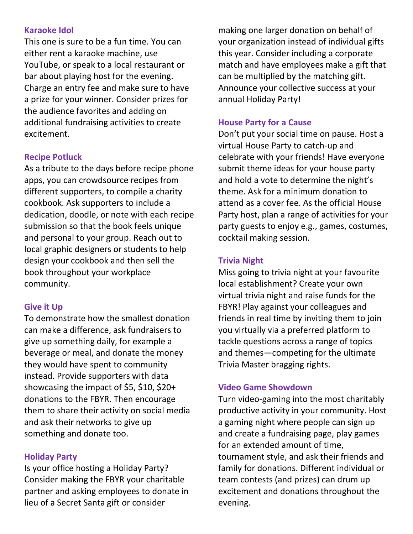#### **Karaoke Idol**

This one is sure to be a fun time. You can either rent a karaoke machine, use YouTube, or speak to a local restaurant or bar about playing host for the evening. Charge an entry fee and make sure to have a prize for your winner. Consider prizes for the audience favorites and adding on additional fundraising activities to create excitement.

#### **Recipe Potluck**

As a tribute to the days before recipe phone apps, you can crowdsource recipes from different supporters, to compile a charity cookbook. Ask supporters to include a dedication, doodle, or note with each recipe submission so that the book feels unique and personal to your group. Reach out to local graphic designers or students to help design your cookbook and then sell the book throughout your workplace community.

#### **Give it Up**

To demonstrate how the smallest donation can make a difference, ask fundraisers to give up something daily, for example a beverage or meal, and donate the money they would have spent to community instead. Provide supporters with data showcasing the impact of \$5, \$10, \$20+ donations to the FBYR. Then encourage them to share their activity on social media and ask their networks to give up something and donate too.

#### **Holiday Party**

Is your office hosting a Holiday Party? Consider making the FBYR your charitable partner and asking employees to donate in lieu of a Secret Santa gift or consider

making one larger donation on behalf of your organization instead of individual gifts this year. Consider including a corporate match and have employees make a gift that can be multiplied by the matching gift. Announce your collective success at your annual Holiday Party!

#### **House Party for a Cause**

Don't put your social time on pause. Host a virtual House Party to catch-up and celebrate with your friends! Have everyone submit theme ideas for your house party and hold a vote to determine the night's theme. Ask for a minimum donation to attend as a cover fee. As the official House Party host, plan a range of activities for your party guests to enjoy e.g., games, costumes, cocktail making session.

### **Trivia Night**

Miss going to trivia night at your favourite local establishment? Create your own virtual trivia night and raise funds for the FBYR! Play against your colleagues and friends in real time by inviting them to join you virtually via a preferred platform to tackle questions across a range of topics and themes—competing for the ultimate Trivia Master bragging rights.

#### **Video Game Showdown**

Turn video-gaming into the most charitably productive activity in your community. Host a gaming night where people can sign up and create a fundraising page, play games for an extended amount of time, tournament style, and ask their friends and family for donations. Different individual or team contests (and prizes) can drum up excitement and donations throughout the evening.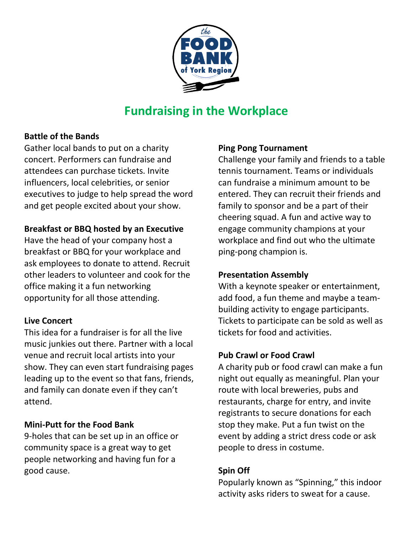

## **Fundraising in the Workplace**

### **Battle of the Bands**

Gather local bands to put on a charity concert. Performers can fundraise and attendees can purchase tickets. Invite influencers, local celebrities, or senior executives to judge to help spread the word and get people excited about your show.

### **Breakfast or BBQ hosted by an Executive**

Have the head of your company host a breakfast or BBQ for your workplace and ask employees to donate to attend. Recruit other leaders to volunteer and cook for the office making it a fun networking opportunity for all those attending.

### **Live Concert**

This idea for a fundraiser is for all the live music junkies out there. Partner with a local venue and recruit local artists into your show. They can even start fundraising pages leading up to the event so that fans, friends, and family can donate even if they can't attend.

### **Mini-Putt for the Food Bank**

9-holes that can be set up in an office or community space is a great way to get people networking and having fun for a good cause.

#### **Ping Pong Tournament**

Challenge your family and friends to a table tennis tournament. Teams or individuals can fundraise a minimum amount to be entered. They can recruit their friends and family to sponsor and be a part of their cheering squad. A fun and active way to engage community champions at your workplace and find out who the ultimate ping-pong champion is.

#### **Presentation Assembly**

With a keynote speaker or entertainment, add food, a fun theme and maybe a teambuilding activity to engage participants. Tickets to participate can be sold as well as tickets for food and activities.

#### **Pub Crawl or Food Crawl**

A charity pub or food crawl can make a fun night out equally as meaningful. Plan your route with local breweries, pubs and restaurants, charge for entry, and invite registrants to secure donations for each stop they make. Put a fun twist on the event by adding a strict dress code or ask people to dress in costume.

#### **Spin Off**

Popularly known as "Spinning," this indoor activity asks riders to sweat for a cause.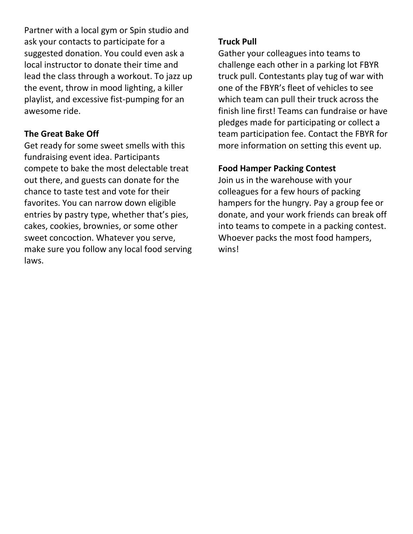Partner with a local gym or Spin studio and ask your contacts to participate for a suggested donation. You could even ask a local instructor to donate their time and lead the class through a workout. To jazz up the event, throw in mood lighting, a killer playlist, and excessive fist-pumping for an awesome ride.

#### **The Great Bake Off**

Get ready for some sweet smells with this fundraising event idea. Participants compete to bake the most delectable treat out there, and guests can donate for the chance to taste test and vote for their favorites. You can narrow down eligible entries by pastry type, whether that's pies, cakes, cookies, brownies, or some other sweet concoction. Whatever you serve, make sure you follow any local food serving laws.

### **Truck Pull**

Gather your colleagues into teams to challenge each other in a parking lot FBYR truck pull. Contestants play tug of war with one of the FBYR's fleet of vehicles to see which team can pull their truck across the finish line first! Teams can fundraise or have pledges made for participating or collect a team participation fee. Contact the FBYR for more information on setting this event up.

### **Food Hamper Packing Contest**

Join us in the warehouse with your colleagues for a few hours of packing hampers for the hungry. Pay a group fee or donate, and your work friends can break off into teams to compete in a packing contest. Whoever packs the most food hampers, wins!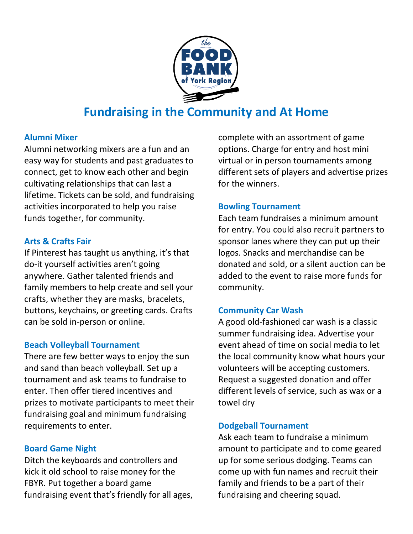

## **Fundraising in the Community and At Home**

#### **Alumni Mixer**

Alumni networking mixers are a fun and an easy way for students and past graduates to connect, get to know each other and begin cultivating relationships that can last a lifetime. Tickets can be sold, and fundraising activities incorporated to help you raise funds together, for community.

### **Arts & Crafts Fair**

If Pinterest has taught us anything, it's that do-it yourself activities aren't going anywhere. Gather talented friends and family members to help create and sell your crafts, whether they are masks, bracelets, buttons, keychains, or greeting cards. Crafts can be sold in-person or online.

#### **Beach Volleyball Tournament**

There are few better ways to enjoy the sun and sand than beach volleyball. Set up a tournament and ask teams to fundraise to enter. Then offer tiered incentives and prizes to motivate participants to meet their fundraising goal and minimum fundraising requirements to enter.

#### **Board Game Night**

Ditch the keyboards and controllers and kick it old school to raise money for the FBYR. Put together a board game fundraising event that's friendly for all ages, complete with an assortment of game options. Charge for entry and host mini virtual or in person tournaments among different sets of players and advertise prizes for the winners.

#### **Bowling Tournament**

Each team fundraises a minimum amount for entry. You could also recruit partners to sponsor lanes where they can put up their logos. Snacks and merchandise can be donated and sold, or a silent auction can be added to the event to raise more funds for community.

### **Community Car Wash**

A good old-fashioned car wash is a classic summer fundraising idea. Advertise your event ahead of time on social media to let the local community know what hours your volunteers will be accepting customers. Request a suggested donation and offer different levels of service, such as wax or a towel dry

#### **Dodgeball Tournament**

Ask each team to fundraise a minimum amount to participate and to come geared up for some serious dodging. Teams can come up with fun names and recruit their family and friends to be a part of their fundraising and cheering squad.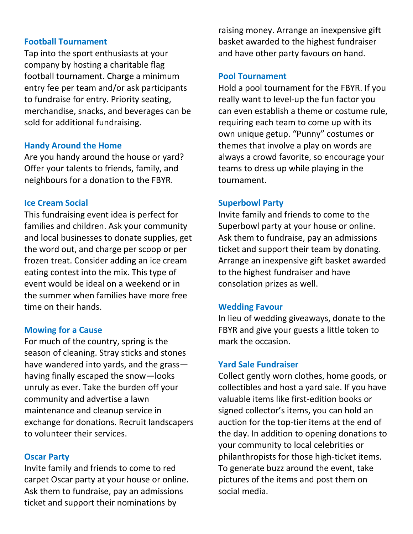#### **Football Tournament**

Tap into the sport enthusiasts at your company by hosting a charitable flag football tournament. Charge a minimum entry fee per team and/or ask participants to fundraise for entry. Priority seating, merchandise, snacks, and beverages can be sold for additional fundraising.

#### **Handy Around the Home**

Are you handy around the house or yard? Offer your talents to friends, family, and neighbours for a donation to the FBYR.

#### **Ice Cream Social**

This fundraising event idea is perfect for families and children. Ask your community and local businesses to donate supplies, get the word out, and charge per scoop or per frozen treat. Consider adding an ice cream eating contest into the mix. This type of event would be ideal on a weekend or in the summer when families have more free time on their hands.

#### **Mowing for a Cause**

For much of the country, spring is the season of cleaning. Stray sticks and stones have wandered into yards, and the grass having finally escaped the snow—looks unruly as ever. Take the burden off your community and advertise a lawn maintenance and cleanup service in exchange for donations. Recruit landscapers to volunteer their services.

#### **Oscar Party**

Invite family and friends to come to red carpet Oscar party at your house or online. Ask them to fundraise, pay an admissions ticket and support their nominations by

raising money. Arrange an inexpensive gift basket awarded to the highest fundraiser and have other party favours on hand.

#### **Pool Tournament**

Hold a pool tournament for the FBYR. If you really want to level-up the fun factor you can even establish a theme or costume rule, requiring each team to come up with its own unique getup. "Punny" costumes or themes that involve a play on words are always a crowd favorite, so encourage your teams to dress up while playing in the tournament.

#### **Superbowl Party**

Invite family and friends to come to the Superbowl party at your house or online. Ask them to fundraise, pay an admissions ticket and support their team by donating. Arrange an inexpensive gift basket awarded to the highest fundraiser and have consolation prizes as well.

#### **Wedding Favour**

In lieu of wedding giveaways, donate to the FBYR and give your guests a little token to mark the occasion.

#### **Yard Sale Fundraiser**

Collect gently worn clothes, home goods, or collectibles and host a yard sale. If you have valuable items like first-edition books or signed collector's items, you can hold an auction for the top-tier items at the end of the day. In addition to opening donations to your community to local celebrities or philanthropists for those high-ticket items. To generate buzz around the event, take pictures of the items and post them on social media.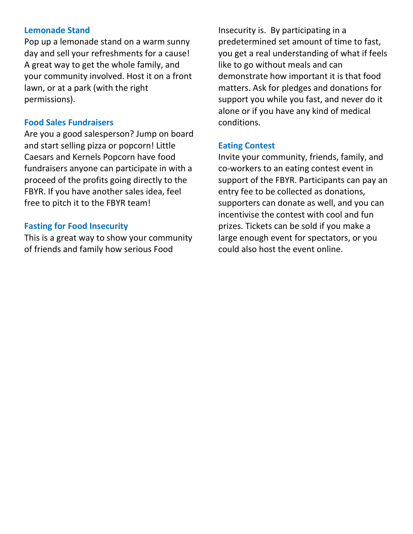#### **Lemonade Stand**

Pop up a lemonade stand on a warm sunny day and sell your refreshments for a cause! A great way to get the whole family, and your community involved. Host it on a front lawn, or at a park (with the right permissions).

#### **Food Sales Fundraisers**

Are you a good salesperson? Jump on board and start selling pizza or popcorn! Little Caesars and Kernels Popcorn have food fundraisers anyone can participate in with a proceed of the profits going directly to the FBYR. If you have another sales idea, feel free to pitch it to the FBYR team!

#### **Fasting for Food Insecurity**

This is a great way to show your community of friends and family how serious Food

Insecurity is. By participating in a predetermined set amount of time to fast, you get a real understanding of what if feels like to go without meals and can demonstrate how important it is that food matters. Ask for pledges and donations for support you while you fast, and never do it alone or if you have any kind of medical conditions.

#### **Eating Contest**

Invite your community, friends, family, and co-workers to an eating contest event in support of the FBYR. Participants can pay an entry fee to be collected as donations, supporters can donate as well, and you can incentivise the contest with cool and fun prizes. Tickets can be sold if you make a large enough event for spectators, or you could also host the event online.